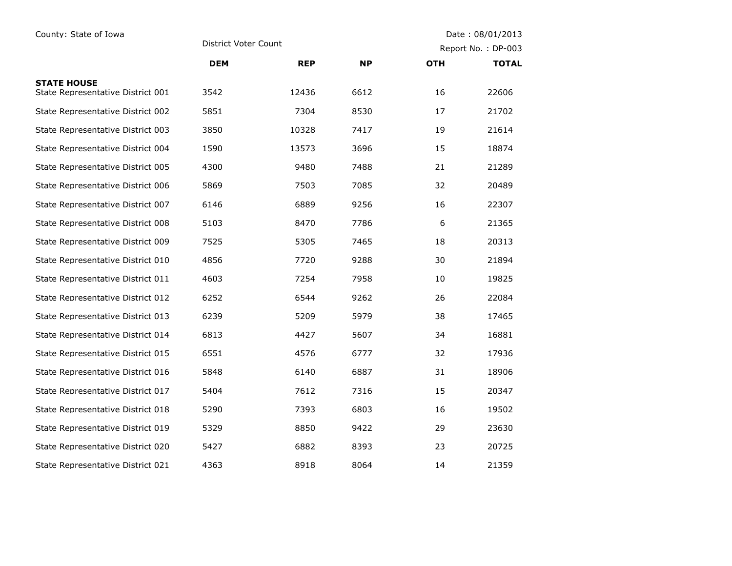| County: State of Iowa                                   | District Voter Count |            |           | Date: 08/01/2013   |              |
|---------------------------------------------------------|----------------------|------------|-----------|--------------------|--------------|
|                                                         |                      |            |           | Report No.: DP-003 |              |
|                                                         | <b>DEM</b>           | <b>REP</b> | <b>NP</b> | <b>OTH</b>         | <b>TOTAL</b> |
| <b>STATE HOUSE</b><br>State Representative District 001 | 3542                 | 12436      | 6612      | 16                 | 22606        |
| State Representative District 002                       | 5851                 | 7304       | 8530      | 17                 | 21702        |
| State Representative District 003                       | 3850                 | 10328      | 7417      | 19                 | 21614        |
| State Representative District 004                       | 1590                 | 13573      | 3696      | 15                 | 18874        |
| State Representative District 005                       | 4300                 | 9480       | 7488      | 21                 | 21289        |
| State Representative District 006                       | 5869                 | 7503       | 7085      | 32                 | 20489        |
| State Representative District 007                       | 6146                 | 6889       | 9256      | 16                 | 22307        |
| State Representative District 008                       | 5103                 | 8470       | 7786      | 6                  | 21365        |
| State Representative District 009                       | 7525                 | 5305       | 7465      | 18                 | 20313        |
| State Representative District 010                       | 4856                 | 7720       | 9288      | 30                 | 21894        |
| State Representative District 011                       | 4603                 | 7254       | 7958      | 10                 | 19825        |
| State Representative District 012                       | 6252                 | 6544       | 9262      | 26                 | 22084        |
| State Representative District 013                       | 6239                 | 5209       | 5979      | 38                 | 17465        |
| State Representative District 014                       | 6813                 | 4427       | 5607      | 34                 | 16881        |
| State Representative District 015                       | 6551                 | 4576       | 6777      | 32                 | 17936        |
| State Representative District 016                       | 5848                 | 6140       | 6887      | 31                 | 18906        |
| State Representative District 017                       | 5404                 | 7612       | 7316      | 15                 | 20347        |
| State Representative District 018                       | 5290                 | 7393       | 6803      | 16                 | 19502        |
| State Representative District 019                       | 5329                 | 8850       | 9422      | 29                 | 23630        |
| State Representative District 020                       | 5427                 | 6882       | 8393      | 23                 | 20725        |
| State Representative District 021                       | 4363                 | 8918       | 8064      | 14                 | 21359        |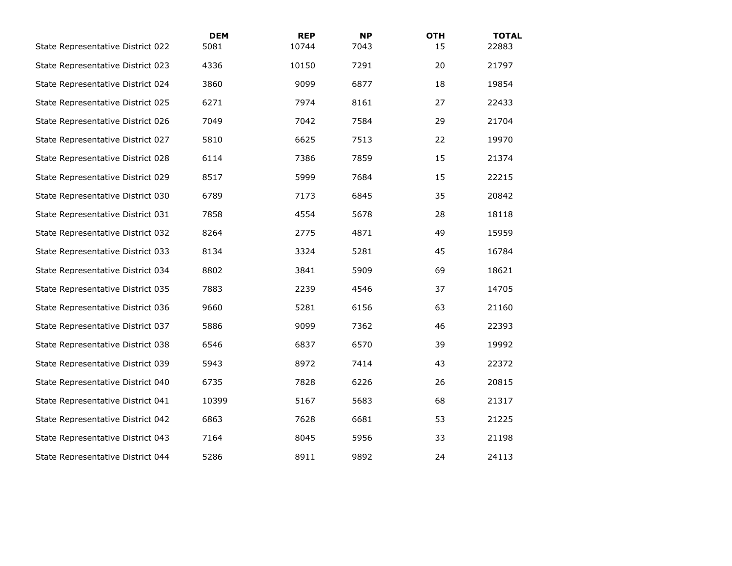| State Representative District 022 | <b>DEM</b><br>5081 | <b>REP</b><br>10744 | <b>NP</b><br>7043 | <b>OTH</b><br>15 | <b>TOTAL</b><br>22883 |
|-----------------------------------|--------------------|---------------------|-------------------|------------------|-----------------------|
| State Representative District 023 | 4336               | 10150               | 7291              | 20               | 21797                 |
| State Representative District 024 | 3860               | 9099                | 6877              | 18               | 19854                 |
| State Representative District 025 | 6271               | 7974                | 8161              | 27               | 22433                 |
| State Representative District 026 | 7049               | 7042                | 7584              | 29               | 21704                 |
| State Representative District 027 | 5810               | 6625                | 7513              | 22               | 19970                 |
| State Representative District 028 | 6114               | 7386                | 7859              | 15               | 21374                 |
| State Representative District 029 | 8517               | 5999                | 7684              | 15               | 22215                 |
| State Representative District 030 | 6789               | 7173                | 6845              | 35               | 20842                 |
| State Representative District 031 | 7858               | 4554                | 5678              | 28               | 18118                 |
| State Representative District 032 | 8264               | 2775                | 4871              | 49               | 15959                 |
| State Representative District 033 | 8134               | 3324                | 5281              | 45               | 16784                 |
| State Representative District 034 | 8802               | 3841                | 5909              | 69               | 18621                 |
| State Representative District 035 | 7883               | 2239                | 4546              | 37               | 14705                 |
| State Representative District 036 | 9660               | 5281                | 6156              | 63               | 21160                 |
| State Representative District 037 | 5886               | 9099                | 7362              | 46               | 22393                 |
| State Representative District 038 | 6546               | 6837                | 6570              | 39               | 19992                 |
| State Representative District 039 | 5943               | 8972                | 7414              | 43               | 22372                 |
| State Representative District 040 | 6735               | 7828                | 6226              | 26               | 20815                 |
| State Representative District 041 | 10399              | 5167                | 5683              | 68               | 21317                 |
| State Representative District 042 | 6863               | 7628                | 6681              | 53               | 21225                 |
| State Representative District 043 | 7164               | 8045                | 5956              | 33               | 21198                 |
| State Representative District 044 | 5286               | 8911                | 9892              | 24               | 24113                 |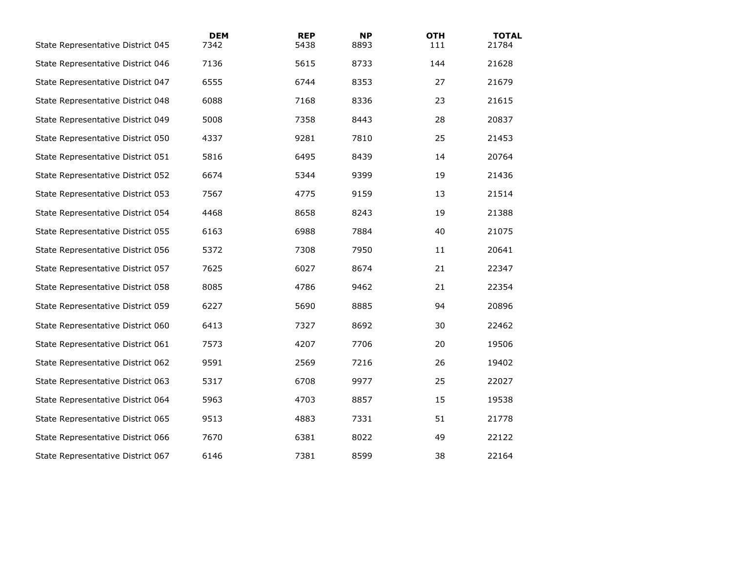| State Representative District 045 | <b>DEM</b><br>7342 | <b>REP</b><br>5438 | <b>NP</b><br>8893 | <b>OTH</b><br>111 | <b>TOTAL</b><br>21784 |
|-----------------------------------|--------------------|--------------------|-------------------|-------------------|-----------------------|
| State Representative District 046 | 7136               | 5615               | 8733              | 144               | 21628                 |
| State Representative District 047 | 6555               | 6744               | 8353              | 27                | 21679                 |
| State Representative District 048 | 6088               | 7168               | 8336              | 23                | 21615                 |
| State Representative District 049 | 5008               | 7358               | 8443              | 28                | 20837                 |
| State Representative District 050 | 4337               | 9281               | 7810              | 25                | 21453                 |
| State Representative District 051 | 5816               | 6495               | 8439              | 14                | 20764                 |
| State Representative District 052 | 6674               | 5344               | 9399              | 19                | 21436                 |
| State Representative District 053 | 7567               | 4775               | 9159              | 13                | 21514                 |
| State Representative District 054 | 4468               | 8658               | 8243              | 19                | 21388                 |
| State Representative District 055 | 6163               | 6988               | 7884              | 40                | 21075                 |
| State Representative District 056 | 5372               | 7308               | 7950              | 11                | 20641                 |
| State Representative District 057 | 7625               | 6027               | 8674              | 21                | 22347                 |
| State Representative District 058 | 8085               | 4786               | 9462              | 21                | 22354                 |
| State Representative District 059 | 6227               | 5690               | 8885              | 94                | 20896                 |
| State Representative District 060 | 6413               | 7327               | 8692              | 30                | 22462                 |
| State Representative District 061 | 7573               | 4207               | 7706              | 20                | 19506                 |
| State Representative District 062 | 9591               | 2569               | 7216              | 26                | 19402                 |
| State Representative District 063 | 5317               | 6708               | 9977              | 25                | 22027                 |
| State Representative District 064 | 5963               | 4703               | 8857              | 15                | 19538                 |
| State Representative District 065 | 9513               | 4883               | 7331              | 51                | 21778                 |
| State Representative District 066 | 7670               | 6381               | 8022              | 49                | 22122                 |
| State Representative District 067 | 6146               | 7381               | 8599              | 38                | 22164                 |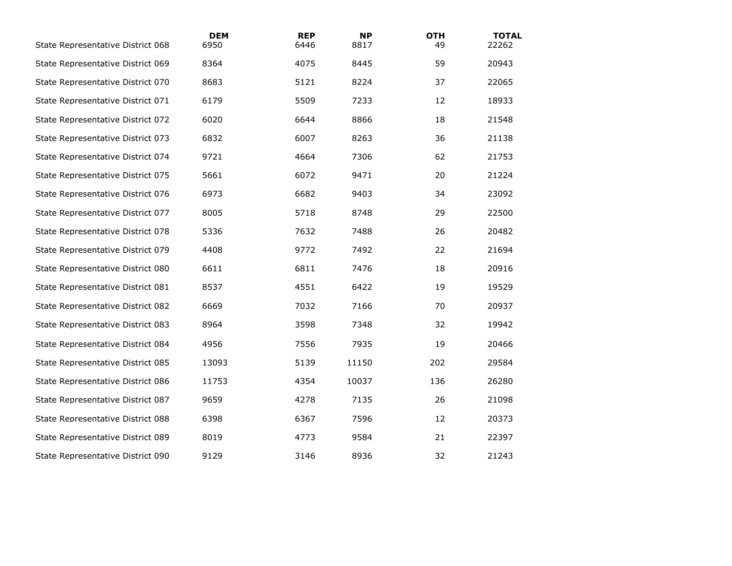| State Representative District 068 | <b>DEM</b><br>6950 | <b>REP</b><br>6446 | <b>NP</b><br>8817 | <b>OTH</b><br>49 | <b>TOTAL</b><br>22262 |
|-----------------------------------|--------------------|--------------------|-------------------|------------------|-----------------------|
| State Representative District 069 | 8364               | 4075               | 8445              | 59               | 20943                 |
| State Representative District 070 | 8683               | 5121               | 8224              | 37               | 22065                 |
| State Representative District 071 | 6179               | 5509               | 7233              | 12               | 18933                 |
| State Representative District 072 | 6020               | 6644               | 8866              | 18               | 21548                 |
| State Representative District 073 | 6832               | 6007               | 8263              | 36               | 21138                 |
| State Representative District 074 | 9721               | 4664               | 7306              | 62               | 21753                 |
| State Representative District 075 | 5661               | 6072               | 9471              | 20               | 21224                 |
| State Representative District 076 | 6973               | 6682               | 9403              | 34               | 23092                 |
| State Representative District 077 | 8005               | 5718               | 8748              | 29               | 22500                 |
| State Representative District 078 | 5336               | 7632               | 7488              | 26               | 20482                 |
| State Representative District 079 | 4408               | 9772               | 7492              | 22               | 21694                 |
| State Representative District 080 | 6611               | 6811               | 7476              | 18               | 20916                 |
| State Representative District 081 | 8537               | 4551               | 6422              | 19               | 19529                 |
| State Representative District 082 | 6669               | 7032               | 7166              | 70               | 20937                 |
| State Representative District 083 | 8964               | 3598               | 7348              | 32               | 19942                 |
| State Representative District 084 | 4956               | 7556               | 7935              | 19               | 20466                 |
| State Representative District 085 | 13093              | 5139               | 11150             | 202              | 29584                 |
| State Representative District 086 | 11753              | 4354               | 10037             | 136              | 26280                 |
| State Representative District 087 | 9659               | 4278               | 7135              | 26               | 21098                 |
| State Representative District 088 | 6398               | 6367               | 7596              | 12               | 20373                 |
| State Representative District 089 | 8019               | 4773               | 9584              | 21               | 22397                 |
| State Representative District 090 | 9129               | 3146               | 8936              | 32               | 21243                 |